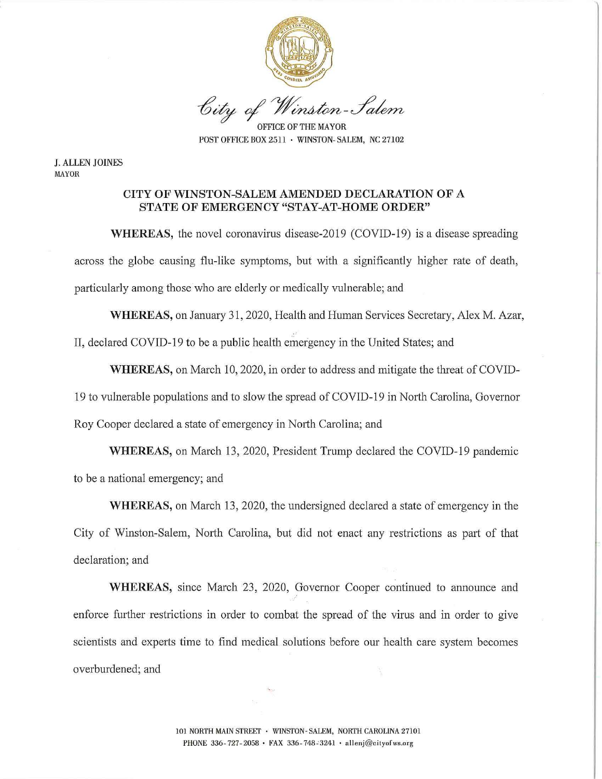

City of Winston-Salem

OFFICE OF THE MAYOR POST OFFICE BOX 2511 · WINSTON- SALEM, NC 27102

**J. ALLEN JOINES MAYOR** 

#### **CITY OF WINSTON-SALEM AMENDED DECLARATION OF A STATE OF EMERGENCY "STAY-AT-HOME ORDER"**

**WHEREAS,** the novel coronavirus disease-2019 (COVID-19) is a disease spreading across the globe causing flu-like symptoms, but with a significantly higher rate of death, particularly among those who are elderly or medically vulnerable; and

**WHEREAS,** on January 31, 2020, Health and Human Services Secretary, Alex M. Azar, II, declared COVID-19 to be a public health emergency in the United States; and

**WHEREAS,** on March 10, 2020, in order to address and mitigate the threat of COVID-19 to vulnerable populations and to slow the spread of COVID-19 in North Carolina, Governor Roy Cooper declared a state of emergency in North Carolina; and

**WHEREAS,** on March 13, 2020, President Trump declared the COVID-19 pandemic to be a national emergency; and

**WHEREAS,** on March 13, 2020, the undersigned declared a state of emergency in the City of Winston-Salem, North Carolina, but did not enact any restrictions as part of that declaration; and

**WHEREAS,** since March 23, 2020, Governor Cooper continued to announce and enforce further restrictions in order to combat the spread of the virus and in order to give scientists and experts time to find medical solutions before our health care system becomes overburdened; and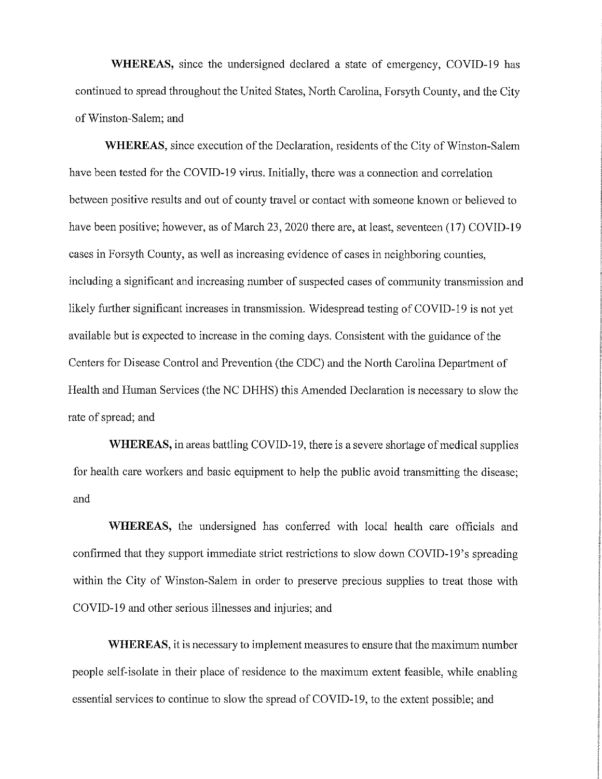**WHEREAS,** since the undersigned declared a state of emergency, COVID-19 has continued to spread throughout the United States, North Carolina, Forsyth County, and the City of Winston-Salem; and

**WHEREAS,** since execution of the Declaration, residents of the City of Winston-Salem have been tested for the COVID-19 virus. Initially, there was a connection and correlation between positive results and out of county travel or contact with someone known or believed to have been positive; however, as of March 23, 2020 there are, at least, seventeen (17) COVID-19 cases in Forsyth County, as well as increasing evidence of cases in neighboring counties, including a significant and increasing number of suspected cases of community transmission and likely further significant increases in transmission. Widespread testing of COVID-19 is not yet available but is expected to increase in the coming days. Consistent with the guidance of the Centers for Disease Control and Prevention (the CDC) and the North Carolina Department of Health and Human Services (the NC DHHS) this Amended Declaration is necessary to slow the rate of spread; and

**WHEREAS, in areas battling COVID-19, there is a severe shortage of medical supplies** for health care workers and basic equipment to help the public avoid transmitting the disease; and

**WHEREAS,** the undersigned has conferred with local health care officials and confirmed that they support immediate strict restrictions to slow down COVID-19's spreading within the City of Winston-Salem in order to preserve precious supplies to treat those with COVID-19 and other serious illnesses and injuries; and

**WHEREAS,** it is necessary to implement measures to ensure that the maximum number people self-isolate in their place of residence to the maximum extent feasible, while enabling essential services to continue to slow the spread of COVID-19, to the extent possible; and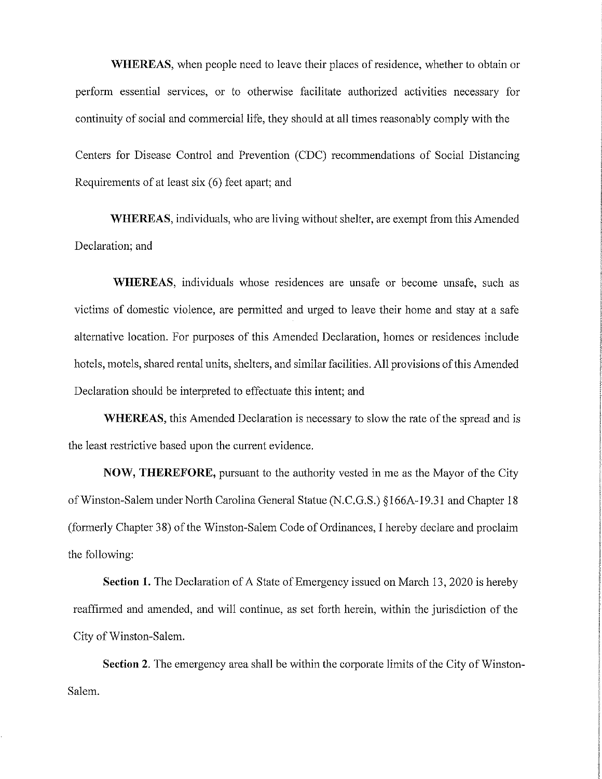**WHEREAS,** when people need to leave their places of residence, whether to obtain or perform essential services, or to otherwise facilitate authorized activities necessary for continuity of social and commercial life, they should at all times reasonably comply with the Centers for Disease Control and Prevention (CDC) recommendations of Social Distancing Requirements of at least six (6) feet apart; and

**WHEREAS,** individuals, who are living without shelter, are exempt from this Amended Declaration; and

**WHEREAS,** individuals whose residences are unsafe or become unsafe, such as victims of domestic violence, are permitted and urged to leave their home and stay at a safe alternative location. For purposes of this Amended Declaration, homes or residences include hotels, motels, shared rental units, shelters, and similar facilities. All provisions of this Amended Declaration should be interpreted to effectuate this intent; and

**WHEREAS,** this Amended Declaration is necessary to slow the rate of the spread and is the least restrictive based upon the current evidence.

**NOW, THEREFORE,** pursuant to the authority vested in me as the Mayor of the City of Winston-Salem under North Carolina General Statue (N.C.G.S.) § I 66A-l 9.3 l and Chapter 18 (formerly Chapter 38) of the Winston-Salem Code of Ordinances, I hereby declare and proclaim the following:

**Section 1.** The Declaration of A State of Emergency issued on March 13, 2020 is hereby reaffirmed and amended, and will continue, as set forth herein, within the jurisdiction of the City of Winston-Salem.

**Section 2.** The emergency area shall be within the corporate limits of the City of Winston-Salem.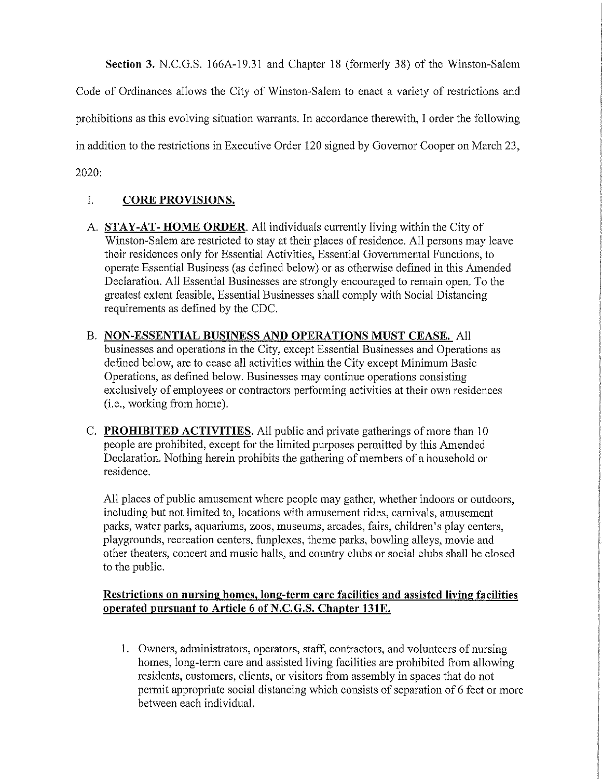**Section 3.** N.C.G.S. 166A-19.31 and Chapter 18 (formerly 38) of the Winston-Salem

Code of Ordinances allows the City of Winston-Salem to enact a variety of restrictions and prohibitions as this evolving situation warrants. In accordance therewith, I order the following in addition to the restrictions in Executive Order 120 signed by Governor Cooper on March 23,

2020:

## I. **CORE PROVISIONS.**

- A. **STAY-AT- HOME ORDER.** All individuals currently living within the City of Winston-Salem are restricted to stay at their places of residence. All persons may leave their residences only for Essential Activities, Essential Governmental Functions, to operate Essential Business (as defined below) or as otherwise defined in this Amended Declaration. All Essential Businesses are strongly encouraged to remain open. To the greatest extent feasible, Essential Businesses shall comply with Social Distancing requirements as defined by the CDC.
- B. **NON-ESSENTIAL BUSINESS AND OPERATIONS MUST CEASE.** All businesses and operations in the City, except Essential Businesses and Operations as defined below, are to cease all activities within the City except Minimum Basic Operations, as defined below. Businesses may continue operations consisting exclusively of employees or contractors performing activities at their own residences (i.e., working from home).
- C. **PROHIBITED ACTIVITIES.** All public and private gatherings of more than 10 people are prohibited, except for the limited purposes permitted by this Amended Declaration. Nothing herein prohibits the gathering of members of a household or residence.

All places of public amusement where people may gather, whether indoors or outdoors, including but not limited to, locations with amusement rides, carnivals, amusement parks, water parks, aquariums, zoos, museums, arcades, fairs, children's play centers, playgrounds, recreation centers, funplexes, theme parks, bowling alleys, movie and other theaters, concert and music halls, and country clubs or social clubs shall be closed to the public.

## **Restrictions on nursing homes, long-term care facilities and assisted living facilities operated pursuant to Article 6 of N.C.G.S. Chapter 131E.**

I. Owners, administrators, operators, staff, contractors, and volunteers of nursing homes, long-term care and assisted living facilities are prohibited from allowing residents, customers, clients, or visitors from assembly in spaces that do not permit appropriate social distancing which consists of separation of 6 feet or more between each individual.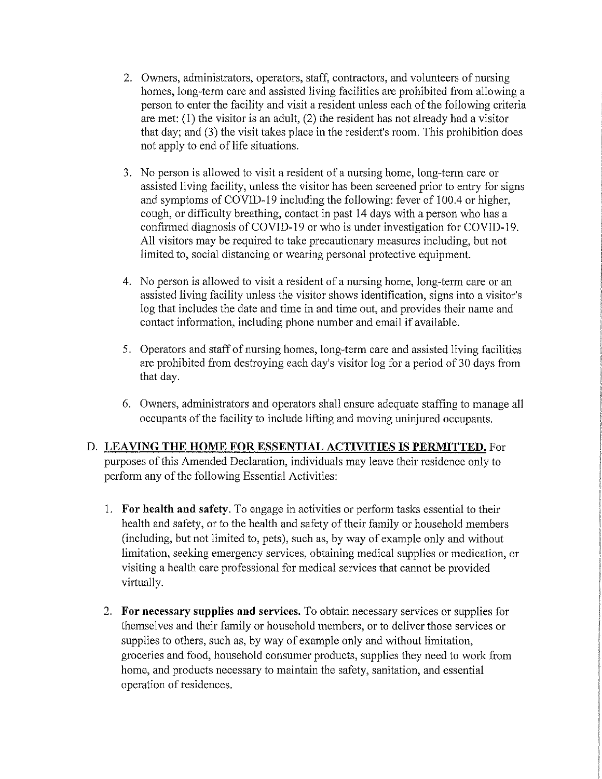- 2. Owners, administrators, operators, staff, contractors, and volunteers of nursing homes, long-term care and assisted living facilities are prohibited from allowing a person to enter the facility and visit a resident unless each of the following criteria are met: (1) the visitor is an adult, (2) the resident has not already had a visitor that day; and (3) the visit takes place in the resident's room. This prohibition does not apply to end of life situations.
- 3. No person is allowed to visit a resident of a nursing home, long-term care or assisted living facility, unless the visitor has been screened prior to entry for signs and symptoms of COVID-19 including the following: fever of 100.4 or higher, cough, or difficulty breathing, contact in past 14 days with a person who has a confirmed diagnosis of COVID-19 or who is under investigation for COVID-19. All visitors may be required to take precautionary measures including, but not limited to, social distancing or wearing personal protective equipment.
- 4. No person is allowed to visit a resident of a nursing home, long-term care or an assisted living facility unless the visitor shows identification, signs into a visitor's log that includes the date and time in and time out, and provides their name and contact information, including phone number and email if available.
- 5. Operators and staff of nursing homes, long-term care and assisted living facilities are prohibited from destroying each day's visitor log for a period of30 days from that day.
- 6. Owners, administrators and operators shall ensure adequate staffing to manage all occupants of the facility to include lifting and moving uninjured occupants.

# D. **LEAVING THE HOME FOR ESSENTIAL ACTIVITIES IS PERMITTED.** For purposes of this Amended Declaration, individuals may leave their residence only to perform any of the following Essential Activities:

- 1. **For health and safety.** To engage in activities or perform tasks essential to their health and safety, or to the health and safety of their family or household members (including, but not limited to, pets), such as, by way of example only and without limitation, seeking emergency services, obtaining medical supplies or medication, or visiting a health care professional for medical services that cannot be provided virtually.
- 2. **For necessary supplies and services.** To obtain necessary services or supplies for themselves and their family or household members, or to deliver those services or supplies to others, such as, by way of example only and without limitation, groceries and food, household consumer products, supplies they need to work from home, and products necessary to maintain the safety, sanitation, and essential operation of residences.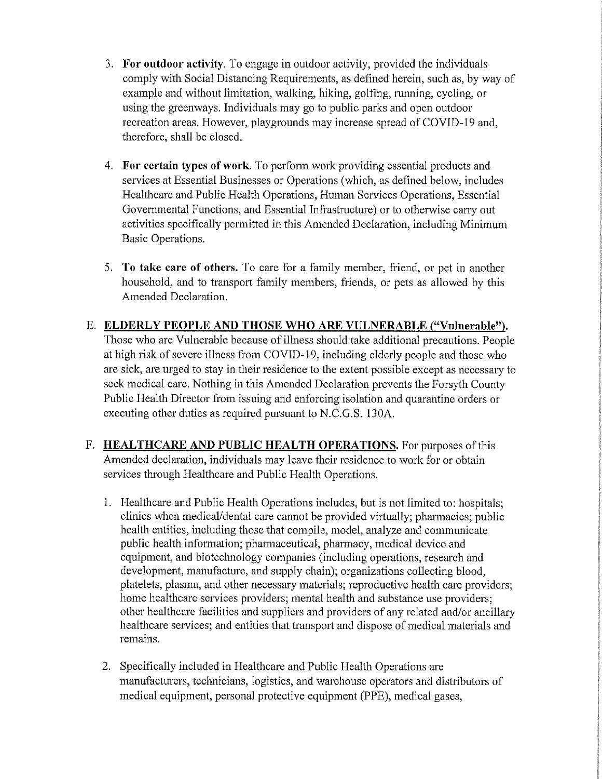- 3. **For outdoor activity.** To engage in outdoor activity, provided the individuals comply with Social Distancing Requirements, as defined herein, such as, by way of example and without limitation, walking, hiking, golfing, running, cycling, or using the greenways. Individuals may go to public parks and open outdoor recreation areas. However, playgrounds may increase spread of COVID-19 and, therefore, shall be closed.
- 4. **For certain types of work.** To perform work providing essential products and services at Essential Businesses or Operations (which, as defined below, includes Healthcare and Public Health Operations, Human Services Operations, Essential Governmental Functions, and Essential Infrastructure) or to otherwise carry out activities specifically permitted in this Amended Declaration, including Minimum Basic Operations.
- 5. **To take care of others.** To care for a family member, friend, or pet in another household, and to transport family members, friends, or pets as allowed by this Amended Declaration.
- E. **ELDERLY PEOPLE AND THOSE WHO ARE VULNERABLE ("Vulnerable").**  Those who are Vulnerable because of illness should take additional precautions. People at high risk of severe illness from COVID-19, including elderly people and those who are sick, are urged to stay in their residence to the extent possible except as necessary to seek medical care. Nothing in this Amended Declaration prevents the Forsyth County Public Health Director from issuing and enforcing isolation and quarantine orders or executing other duties as required pursuant to N.C.G.S. 130A.
- F. **HEALTHCARE AND PUBLIC HEALTH OPERATIONS.** For purposes of this Amended declaration, individuals may leave their residence to work for or obtain services through Healthcare and Public Health Operations.
	- 1. Healthcare and Public Health Operations includes, but is not limited to: hospitals; clinics when medical/dental care cannot be provided virtually; pharmacies; public health entities, including those that compile, model, analyze and communicate public health information; pharmaceutical, pharmacy, medical device and equipment, and biotechnology companies (including operations, research and development, manufacture, and supply chain); organizations collecting blood, platelets, plasma, and other necessary materials; reproductive health care providers; home healthcare services providers; mental health and substance use providers; other healthcare facilities and suppliers and providers of any related and/or ancillary healthcare services; and entities that transport and dispose of medical materials and remains.
	- 2. Specifically included in Healthcare and Public Health Operations are manufacturers, teclmicians, logistics, and warehouse operators and distributors of medical equipment, personal protective equipment (PPE), medical gases,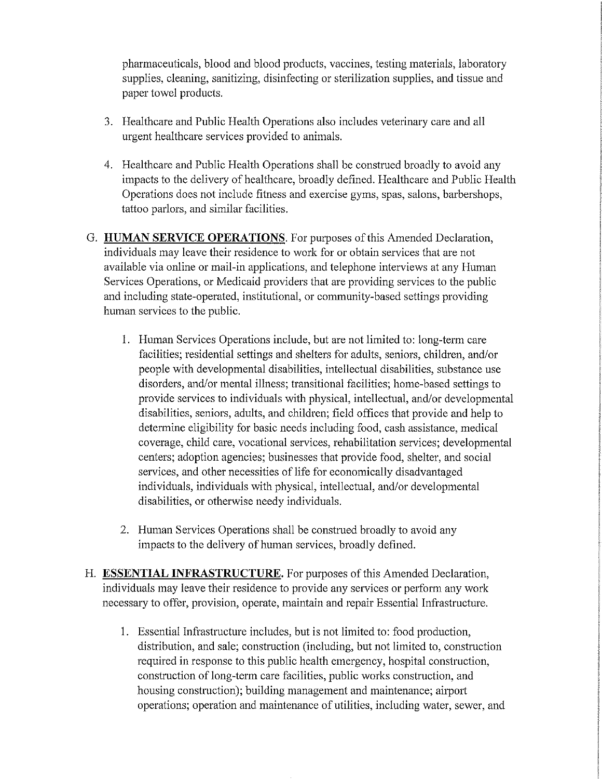pharmaceuticals, blood and blood products, vaccines, testing materials, laboratory supplies, cleaning, sanitizing, disinfecting or sterilization supplies, and tissue and paper towel products.

- 3. Healthcare and Public Health Operations also includes veterinary care and all urgent healthcare services provided to animals.
- 4. Healthcare and Public Health Operations shall be construed broadly to avoid any impacts to the delivery of healthcare, broadly defined. Healthcare and Public Health Operations does not include fitness and exercise gyms, spas, salons, barbershops, tattoo parlors, and similar facilities.
- G. **HUMAN SERVICE OPERATIONS.** For purposes of this Amended Declaration, individuals may leave their residence to work for or obtain services that are not available via online or mail-in applications, and telephone interviews at any Human Services Operations, or Medicaid providers that are providing services to the public and including state-operated, institutional, or community-based settings providing human services to the public.
	- I. Human Services Operations include, but are not limited to: long-term care facilities; residential settings and shelters for adults, seniors, children, and/or people with developmental disabilities, intellectual disabilities, substance use disorders, and/or mental illness; transitional facilities; home-based settings to provide services to individuals with physical, intellectual, and/or developmental disabilities, seniors, adults, and children; field offices that provide and help to detennine eligibility for basic needs including food, cash assistance, medical coverage, child care, vocational services, rehabilitation services; developmental centers; adoption agencies; businesses that provide food, shelter, and social services, and other necessities of life for economically disadvantaged individuals, individuals with physical, intellectual, and/or developmental disabilities, or otherwise needy individuals.
	- 2. Human Services Operations shall be construed broadly to avoid any impacts to the delivery of human services, broadly defined.
- H. **ESSENTIAL INFRASTRUCTURE.** For purposes of this Amended Declaration, individuals may leave their residence to provide any services or perform any work necessary to offer, provision, operate, maintain and repair Essential Infrastructure.
	- I. Essential Infrastructure includes, but is not limited to: food production, distribution, and sale; construction (including, but not limited to, construction required in response to this public health emergency, hospital construction, construction of long-term care facilities, public works construction, and housing construction); building management and maintenance; airport operations; operation and maintenance of utilities, including water, sewer, and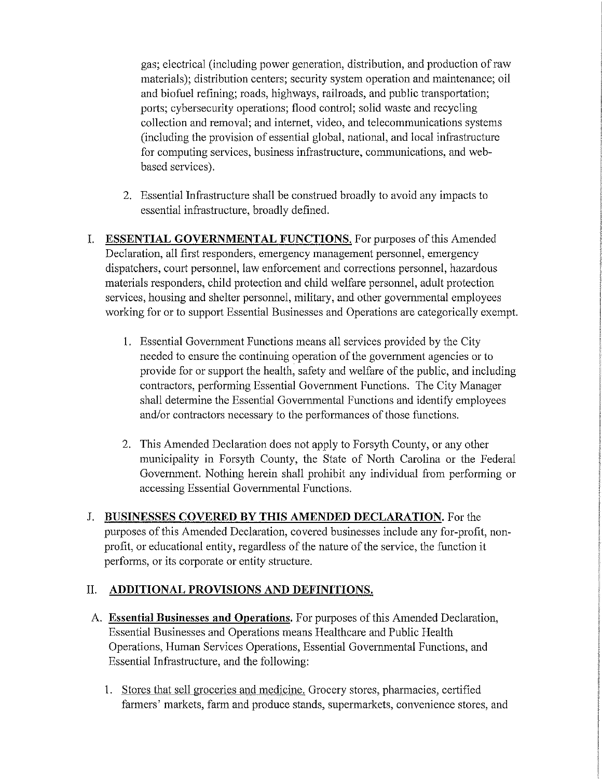gas; electrical (including power generation, distribution, and production ofraw materials); distribution centers; security system operation and maintenance; oil and biofuel refining; roads, highways, railroads, and public transportation; ports; cybersecurity operations; flood control; solid waste and recycling collection and removal; and internet, video, and telecommunications systems (including the provision of essential global, national, and local infrastructure for computing services, business infrastructure, communications, and webbased services).

- 2. Essential Infrastructure shall be construed broadly to avoid any impacts to essential infrastructure, broadly defined.
- I. **ESSENTIAL GOVERNMENTAL FUNCTIONS.** For purposes of this Amended Declaration, all first responders, emergency management personnel, emergency dispatchers, court personnel, law enforcement and corrections personnel, hazardous materials responders, child protection and child welfare personnel, adult protection services, housing and shelter personnel, military, and other governmental employees working for or to support Essential Businesses and Operations are categorically exempt.
	- I. Essential Government Functions means all services provided by the City needed to ensure the continuing operation of the government agencies or to provide for or support the health, safety and welfare of the public, and including contractors, performing Essential Government Functions. The City Manager shall determine the Essential Governmental Functions and identify employees and/or contractors necessary to the performances of those functions.
	- 2. This Amended Declaration does not apply to Forsyth County, or any other municipality in Forsyth County, the State of North Carolina or the Federal Government. Nothing herein shall prohibit any individual from performing or accessing Essential Governmental Functions.
- J. **BUSINESSES COVERED BY THIS AMENDED DECLARATION.** For the purposes of this Amended Declaration, covered businesses include any for-profit, nonprofit, or educational entity, regardless of the nature of the service, the function it performs, or its corporate or entity structure.

## II. **ADDITIONAL PROVISIONS AND DEFINITIONS.**

- A. **Essential Businesses and Operations.** For purposes of this Amended Declaration, Essential Businesses and Operations means Healthcare and Public Health Operations, Human Services Operations, Essential Governmental Functions, and Essential Infrastructure, and the following:
	- 1. Stores that sell groceries and medicine. Grocery stores, pharmacies, certified farmers' markets, farm and produce stands, supermarkets, convenience stores, and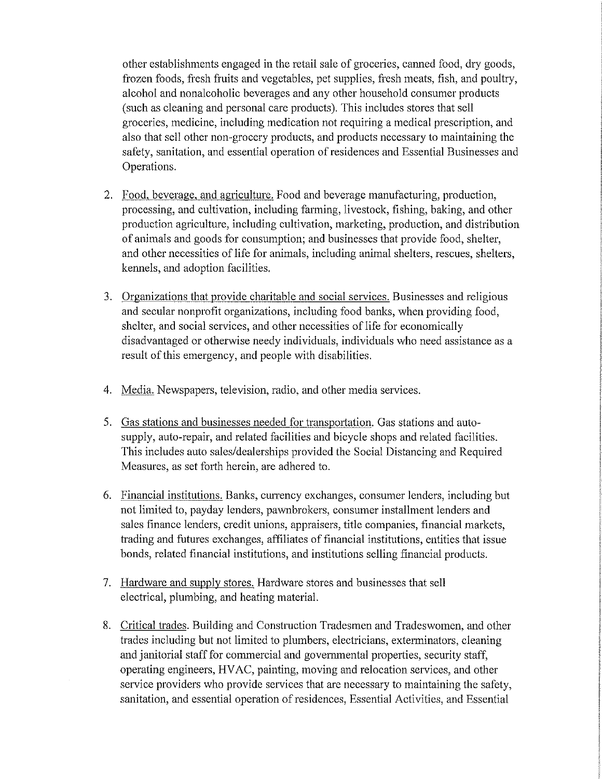other establishments engaged in the retail sale of groceries, canned food, dry goods, frozen foods, fresh fruits and vegetables, pet supplies, fresh meats, fish, and poultry, alcohol and nonalcoholic beverages and any other household consumer products (such as cleaning and personal care products). This includes stores that sell groceries, medicine, including medication not requiring a medical prescription, and also that sell other non-grocery products, and products necessary to maintaining the safety, sanitation, and essential operation of residences and Essential Businesses and Operations.

- 2. Food, beverage, and agriculture. Food and beverage manufacturing, production, processing, and cultivation, including farming, livestock, fishing, baking, and other production agriculture, including cultivation, marketing, production, and distribution of animals and goods for consumption; and businesses that provide food, shelter, and other necessities of life for animals, including animal shelters, rescues, shelters, kennels, and adoption facilities.
- 3. Organizations that provide charitable and social services. Businesses and religious and secular nonprofit organizations, including food banks, when providing food, shelter, and social services, and other necessities of life for economically disadvantaged or otherwise needy individuals, individuals who need assistance as a result of this emergency, and people with disabilities.
- 4. Media. Newspapers, television, radio, and other media services.
- 5. Gas stations and businesses needed for transportation. Gas stations and autosupply, auto-repair, and related facilities and bicycle shops and related facilities. This includes auto sales/dealerships provided the Social Distancing and Required Measures, as set forth herein, are adhered to.
- 6. Financial institutions. Banks, cunency exchanges, consumer lenders, including but not limited to, payday lenders, pawnbrokers, consumer installment lenders and sales finance lenders, credit unions, appraisers, title companies, financial markets, trading and futures exchanges, affiliates of financial institutions, entities that issue bonds, related financial institutions, and institutions selling financial products.
- 7. Hardware and supply stores. Hardware stores and businesses that sell electrical, plumbing, and heating material.
- 8. Critical trades. Building and Construction Tradesmen and Tradeswomen, and other trades including but not limited to plumbers, electricians, exterminators, cleaning and janitorial staff for commercial and governmental properties, security staff, operating engineers, HV AC, painting, moving and relocation services, and other service providers who provide services that are necessary to maintaining the safety, sanitation, and essential operation of residences, Essential Activities, and Essential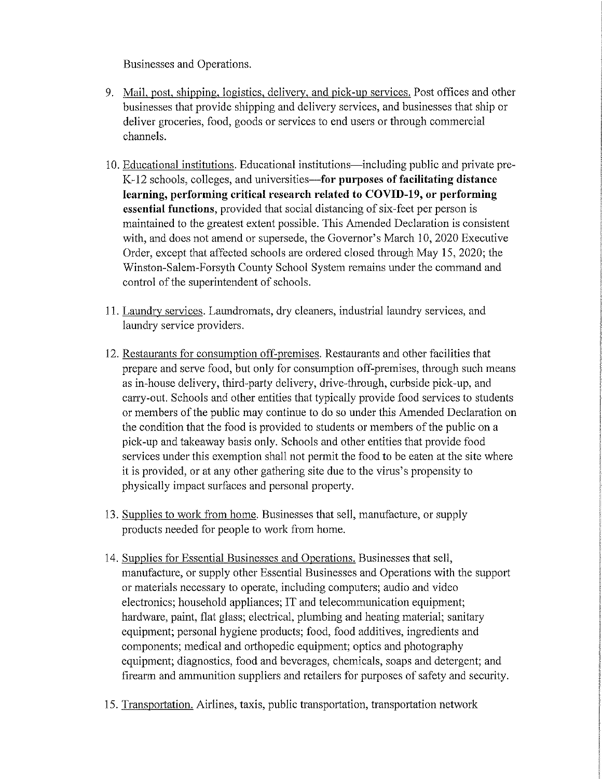Businesses and Operations.

- 9. Mail, post, shipping, logistics, delivery, and pick-up services. Post offices and other businesses that provide shipping and delivery services, and businesses that ship or deliver groceries, food, goods or services to end users or through commercial channels.
- 10. Educational institutions. Educational institutions-including public and private pre-K-12 schools, colleges, and universities-for purposes of facilitating distance **learning, performing critical research related to COVID-19, or performing essential functions,** provided that social distancing of six-feet per person is maintained to the greatest extent possible. This Amended Declaration is consistent with, and does not amend or supersede, the Governor's March 10, 2020 Executive Order, except that affected schools are ordered closed through May 15, 2020; the Winston-Salem-Forsyth County School System remains under the command and control of the superintendent of schools.
- 11. Laundry services. Laundromats, dry cleaners, industrial laundry services, and laundry service providers.
- 12. Restaurants for consumption off-premises. Restaurants and other facilities that prepare and serve food, but only for consumption off-premises, through such means as in-house delivery, third-party delivery, drive-through, curbside pick-up, and carry-out. Schools and other entities that typically provide food services to students or members of the public may continue to do so under this Amended Declaration on the condition that the food is provided to students or members of the public on a pick-up and takeaway basis only. Schools and other entities that provide food services under this exemption shall not pennit the food to be eaten at the site where it is provided, or at any other gathering site due to the virus's propensity to physically impact surfaces and personal property.
- 13. Supplies to work from home. Businesses that sell, manufacture, or supply products needed for people to work from home.
- 14. Supplies for Essential Businesses and Operations. Businesses that sell, manufacture, or supply other Essential Businesses and Operations with the support or materials necessary to operate, including computers; audio and video electronics; household appliances; IT and telecommunication equipment; hardware, paint, flat glass; electrical, plumbing and heating material; sanitary equipment; personal hygiene products; food, food additives, ingredients and components; medical and orthopedic equipment; optics and photography equipment; diagnostics, food and beverages, chemicals, soaps and detergent; and firearm and annnunition suppliers and retailers for purposes of safety and security.
- 15. Transportation. Airlines, taxis, public transportation, transportation network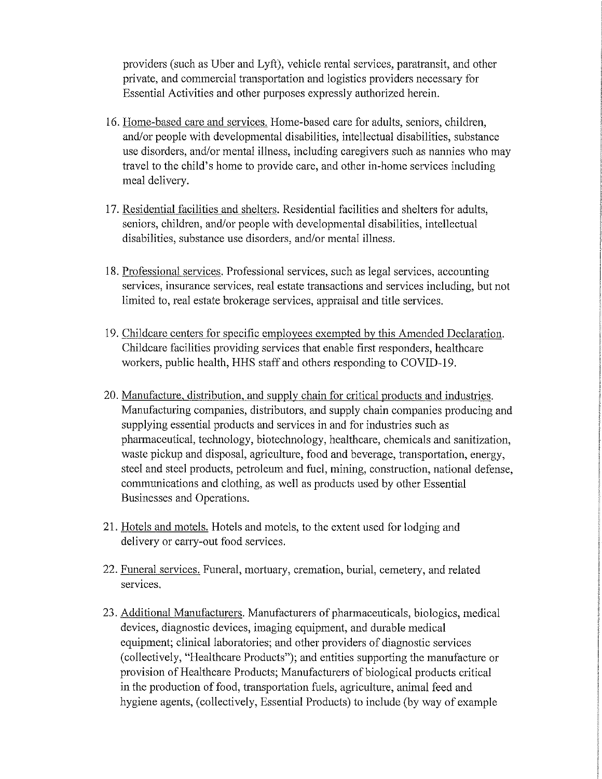providers (such as Uber and Lyft), vehicle rental services, paratransit, and other private, and commercial transportation and logistics providers necessary for Essential Activities and other purposes expressly authorized herein.

- 16. Home-based care and services. Home-based care for adults, seniors, children, and/or people with developmental disabilities, intellectual disabilities, substance use disorders, and/or mental illness, including caregivers such as nannies who may travel to the child's home to provide care, and other in-home services including meal delivery.
- 17. Residential facilities and shelters. Residential facilities and shelters for adults, seniors, children, and/or people with developmental disabilities, intellectual disabilities, substance use disorders, and/or mental illness.
- 18. Professional services. Professional services, such as legal services, accounting services, insurance services, real estate transactions and services including, but not limited to, real estate brokerage services, appraisal and title services.
- 19. Childcare centers for specific employees exempted by this Amended Declaration. Childcare facilities providing services that enable first responders, healthcare workers, public health, HHS staff and others responding to COVID-19.
- 20. Manufacture, distribution, and supply chain for critical products and industries. Manufacturing companies, distributors, and supply chain companies producing and supplying essential products and services in and for industries such as pharmaceutical, technology, biotechnology, healthcare, chemicals and sanitization, waste pickup and disposal, agriculture, food and beverage, transportation, energy, steel and steel products, petroleum and fuel, mining, construction, national defense, communications and clothing, as well as products used by other Essential Businesses and Operations.
- 21. Hotels and motels. Hotels and motels, to the extent used for lodging and delivery or carry-out food services.
- 22. Funeral services. Funeral, mortuary, cremation, burial, cemetery, and related services.
- 23. Additional Manufacturers. Manufacturers of pharmaceuticals, biologics, medical devices, diagnostic devices, imaging equipment, and durable medical equipment; clinical laboratories; and other providers of diagnostic services (collectively, "Healthcare Products"); and entities supporting the manufacture or provision of Healthcare Products; Manufacturers of biological products critical in the production of food, transportation fuels, agriculture, animal feed and hygiene agents, (collectively, Essential Products) to include (by way of example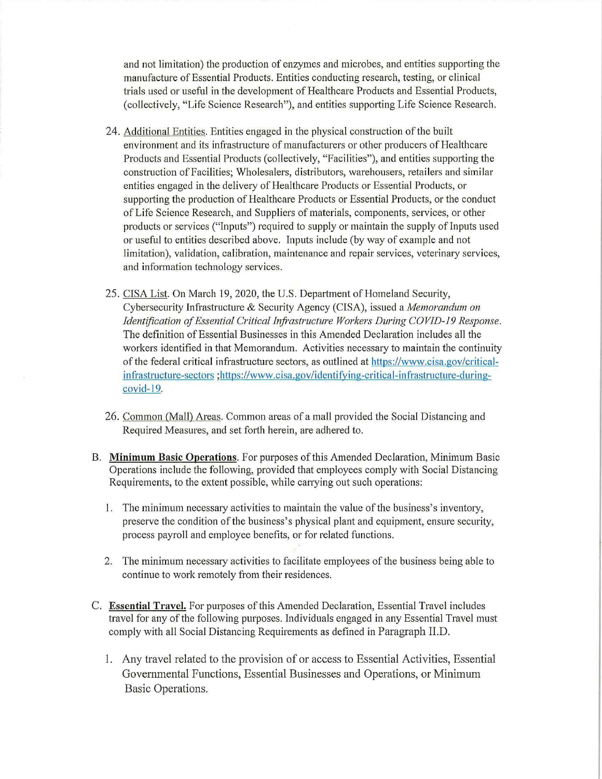and not limitation) the production of enzymes and microbes, and entities supporting the manufacture of Essential Products. Entities conducting research, testing, or clinical trials used or useful in the development of Healthcare Products and Essential Products, (collectively, "Life Science Research"), and entities supporting Life Science Research.

- 24. Additional Entities. Entities engaged in the physical construction of the built environment and its infrastructure of manufacturers or other producers of Healthcare Products and Essential Products (collectively, "Facilities"), and entities supporting the construction of Facilities; Wholesalers, distributors, warehousers, retailers and similar entities engaged in the delivery of Healthcare Products or Essential Products, or supporting the production of Healthcare Products or Essential Products, or the conduct of Life Science Research, and Suppliers of materials, components, services, or other products or services ("Inputs") required to supply or maintain the supply of Inputs used or useful to entities described above. Inputs include (by way of example and not limitation), validation, calibration, maintenance and repair services, veterinary services, and information technology services.
- 25. CISA List. On March 19, 2020, the U.S. Department of Homeland Security, Cybersecurity Infrastructure & Security Agency (CISA), issued a *Memorandum on Identification of Essential Critical Infrastructure Workers During COVID-19 Response.* The definition of Essential Businesses in this Amended Declaration includes all the workers identified in that Memorandum. Activities necessary to maintain the continuity of the federal critical infrastructure sectors, as outlined at https://www.cisa.gov/criticalinfrastructure-sectors ;https://www.cisa.gov/identifying-critical-infrastructure-duringcovid-19.
- 26. Common (Mall) Areas. Common areas ofa mall provided the Social Distancing and Required Measures, and set forth herein, are adhered to.
- B. **Minimum Basic Operations.** For purposes of this Amended Declaration, Minimum Basic Operations include the following, provided that employees comply with Social Distancing Requirements, to the extent possible, while carrying out such operations:
	- 1. The minimum necessary activities to maintain the value of the business's inventory, preserve the condition of the business's physical plant and equipment, ensure security, process payroll and employee benefits, or for related functions.
	- 2. The minimum necessary activities to facilitate employees of the business being able to continue to work remotely from their residences.
- C. **Essential Travel.** For purposes of this Amended Declaration, Essential Travel includes travel for any of the following purposes. Individuals engaged in any Essential Travel must comply with all Social Distancing Requirements as defined in Paragraph II.D.
	- 1. Any travel related to the provision of or access to Essential Activities, Essential Governmental Functions, Essential Businesses and Operations, or Minimum Basic Operations.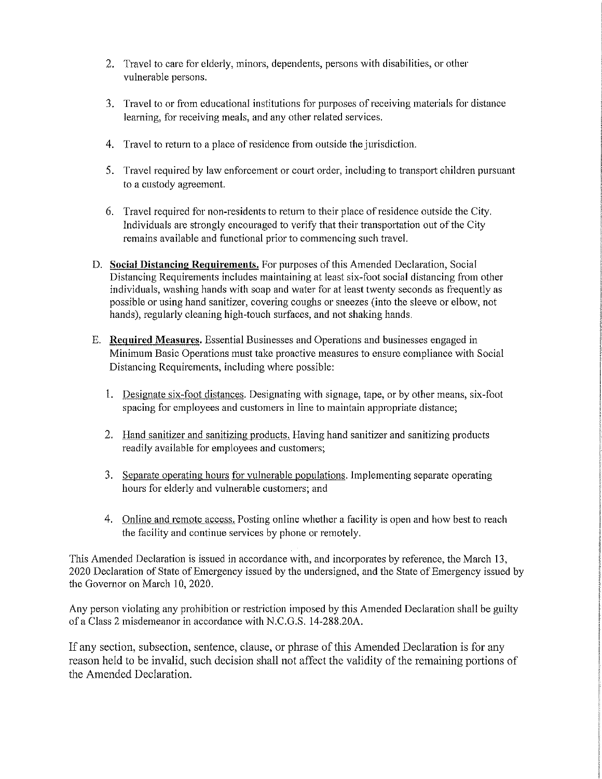- 2. Travel to care for elderly, minors, dependents, persons with disabilities, or other vulnerable persons.
- 3. Travel to or from educational institutions for purposes of receiving materials for distance learning, for receiving meals, and any other related services.
- 4. Travel to return to a place of residence from outside the jurisdiction.
- 5. Travel required by law enforcement or court order, including to transport children pursuant to a custody agreement.
- 6. Travel required for non-residents to return to their place of residence outside the City. Individuals are strongly encouraged to verify that their transportation out of the City remains available and functional prior to commencing such travel.
- D. **Social Distancing Requirements.** For purposes of this Amended Declaration, Social Distancing Requirements includes maintaining at least six-foot social distancing from other individuals, washing hands with soap and water for at least twenty seconds as frequently as possible or using hand sanitizer, covering coughs or sneezes (into the sleeve or elbow, not hands), regularly cleaning high-touch surfaces, and not shaking hands.
- E. **Required Measures.** Essential Businesses and Operations and businesses engaged in Minimum Basic Operations must take proactive measures to ensure compliance with Social Distancing Requirements, including where possible:
	- I. Designate six-foot distances. Designating with signage, tape, or by other means, six-foot spacing for employees and customers in line to maintain appropriate distance;
	- 2. Hand sanitizer and sanitizing products. Having hand sanitizer and sanitizing products readily available for employees and customers;
	- 3. Separate operating hours for vulnerable populations. Implementing separate operating hours for elderly and vulnerable customers; and
	- 4. Online and remote access. Posting online whether a facility is open and how best to reach the facility and continue services by phone or remotely.

This Amended Declaration is issued in accordance with, and incorporates by reference, the March 13, 2020 Declaration of State of Emergency issued by the undersigned, and the State of Emergency issued by the Governor on March 10, 2020.

Any person violating any prohibition or restriction imposed by this Amended Declaration shall be guilty ofa Class 2 misdemeanor in accordance with N.C.G.S. 14-288.20A.

If any section, subsection, sentence, clause, or phrase of this Amended Declaration is for any reason held to be invalid, such decision shall not affect the validity of the remaining portions of the Amended Declaration.